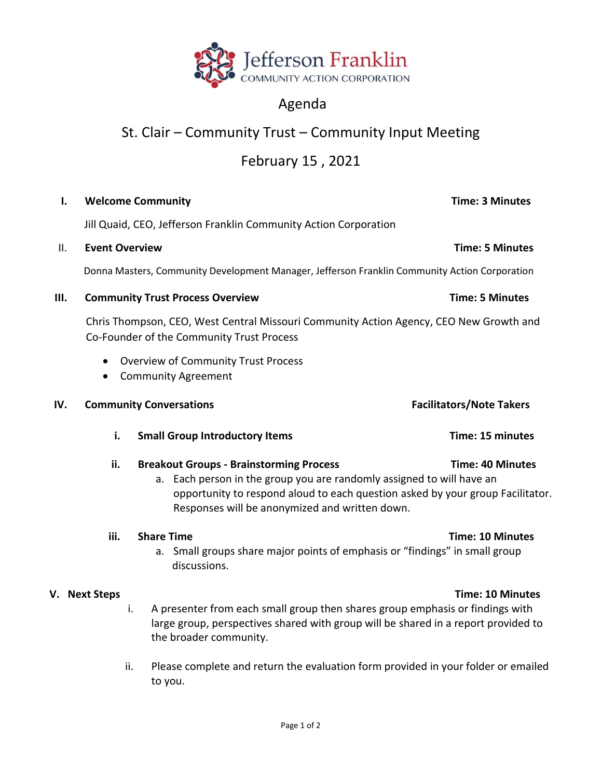

## Agenda

# St. Clair – Community Trust – Community Input Meeting

## February 15 , 2021

### **I. Welcome Community Time: 3 Minutes**

Jill Quaid, CEO, Jefferson Franklin Community Action Corporation

### II. **Event Overview Time: 5 Minutes**

Donna Masters, Community Development Manager, Jefferson Franklin Community Action Corporation

### **III.** Community Trust Process Overview Time: 5 Minutes

 Chris Thompson, CEO, West Central Missouri Community Action Agency, CEO New Growth and Co-Founder of the Community Trust Process

- Overview of Community Trust Process
- Community Agreement

### **IV.** Community Conversations **Facilitators** Facilitators/Note Takers

**i.** Small Group Introductory Items Time: 15 minutes

### ii. Breakout Groups - Brainstorming Process Time: 40 Minutes

a. Each person in the group you are randomly assigned to will have an opportunity to respond aloud to each question asked by your group Facilitator. Responses will be anonymized and written down.

### **iii. Share Time Time: 10 Minutes**

a. Small groups share major points of emphasis or "findings" in small group discussions.

- i. A presenter from each small group then shares group emphasis or findings with large group, perspectives shared with group will be shared in a report provided to the broader community.
- ii. Please complete and return the evaluation form provided in your folder or emailed to you.

## **V. Next Steps Time: 10 Minutes**